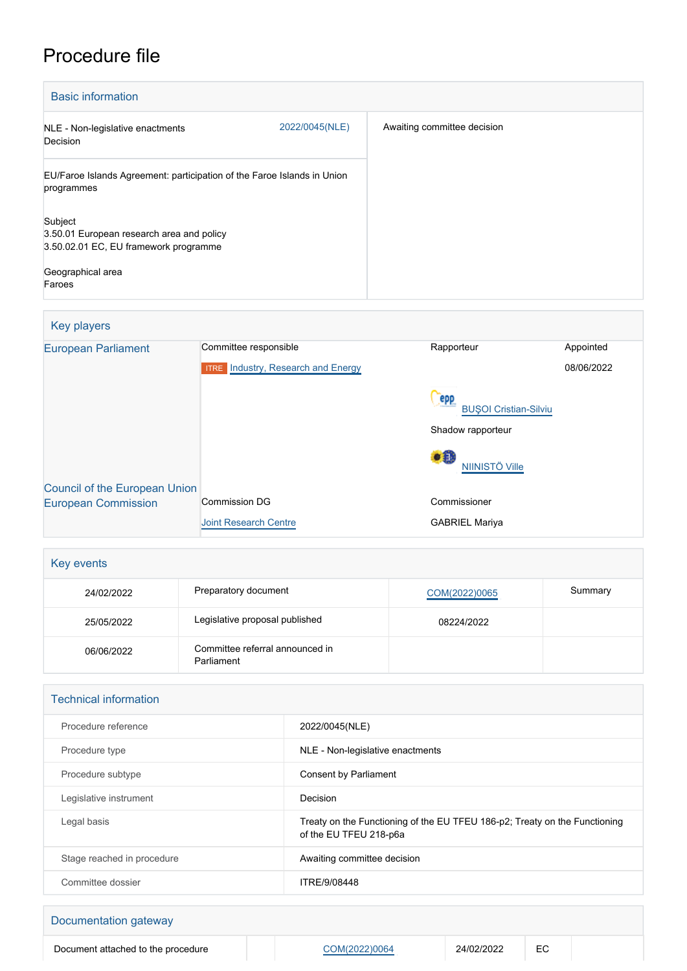## Procedure file

| <b>Basic information</b>                                                                                                     |                |                             |
|------------------------------------------------------------------------------------------------------------------------------|----------------|-----------------------------|
| NLE - Non-legislative enactments<br>Decision                                                                                 | 2022/0045(NLE) | Awaiting committee decision |
| EU/Faroe Islands Agreement: participation of the Faroe Islands in Union<br>programmes                                        |                |                             |
| Subject<br>3.50.01 European research area and policy<br>3.50.02.01 EC, EU framework programme<br>Geographical area<br>Faroes |                |                             |

| Key players                          |                                           |                                     |            |
|--------------------------------------|-------------------------------------------|-------------------------------------|------------|
| <b>European Parliament</b>           | Committee responsible                     | Rapporteur                          | Appointed  |
|                                      | <b>ITRE</b> Industry, Research and Energy |                                     | 08/06/2022 |
|                                      |                                           | epp<br><b>BUSOI Cristian-Silviu</b> |            |
|                                      |                                           | Shadow rapporteur                   |            |
|                                      |                                           | $\bullet$ iii<br>NIINISTÖ Ville     |            |
| <b>Council of the European Union</b> |                                           |                                     |            |
| <b>European Commission</b>           | Commission DG                             | Commissioner                        |            |
|                                      | <b>Joint Research Centre</b>              | <b>GABRIEL Mariya</b>               |            |

| Key events |                                               |               |         |
|------------|-----------------------------------------------|---------------|---------|
| 24/02/2022 | Preparatory document                          | COM(2022)0065 | Summary |
| 25/05/2022 | Legislative proposal published                | 08224/2022    |         |
| 06/06/2022 | Committee referral announced in<br>Parliament |               |         |

| <b>Technical information</b> |                                                                                                      |
|------------------------------|------------------------------------------------------------------------------------------------------|
| Procedure reference          | 2022/0045(NLE)                                                                                       |
| Procedure type               | NLE - Non-legislative enactments                                                                     |
| Procedure subtype            | Consent by Parliament                                                                                |
| Legislative instrument       | Decision                                                                                             |
| Legal basis                  | Treaty on the Functioning of the EU TFEU 186-p2; Treaty on the Functioning<br>of the EU TFEU 218-p6a |
| Stage reached in procedure   | Awaiting committee decision                                                                          |
| Committee dossier            | ITRE/9/08448                                                                                         |

|  | Documentation gateway |
|--|-----------------------|
|--|-----------------------|

Document attached to the procedure Manuscriptic [COM\(2022\)0064](http://www.europarl.europa.eu/RegData/docs_autres_institutions/commission_europeenne/com/2022/0064/COM_COM(2022)0064_EN.pdf) 24/02/2022 EC